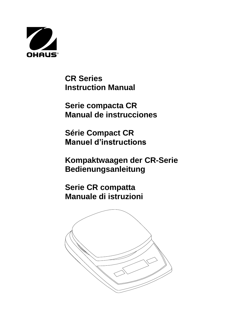

**CR Series Instruction Manual**

**Serie compacta CR Manual de instrucciones**

**Série Compact CR Manuel d'instructions**

**Kompaktwaagen der CR-Serie Bedienungsanleitung**

**Serie CR compatta Manuale di istruzioni**

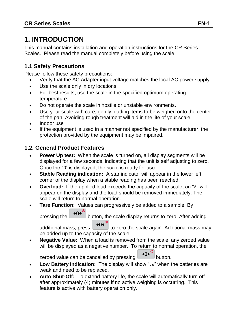# **1. INTRODUCTION**

This manual contains installation and operation instructions for the CR Series Scales. Please read the manual completely before using the scale.

## **1.1 Safety Precautions**

Please follow these safety precautions:

- Verify that the AC Adapter input voltage matches the local AC power supply.
- Use the scale only in dry locations.
- For best results, use the scale in the specified optimum operating temperature.
- Do not operate the scale in hostile or unstable environments.
- Use your scale with care, gently loading items to be weighed onto the center of the pan. Avoiding rough treatment will aid in the life of your scale.
- Indoor use
- If the equipment is used in a manner not specified by the manufacturer, the protection provided by the equipment may be impaired.

## **1.2. General Product Features**

- **Power Up test:** When the scale is turned on, all display segments will be displayed for a few seconds, indicating that the unit is self adjusting to zero. Once the "0" is displayed, the scale is ready for use.
- **Stable Reading indication:** A star indicator will appear in the lower left corner of the display when a stable reading has been reached.
- **Overload:** If the applied load exceeds the capacity of the scale, an "E" will appear on the display and the load should be removed immediately. The scale will return to normal operation.
- **Tare Function:** Values can progressively be added to a sample. By

pressing the  $\rightarrow 0e^{i\theta}$  button, the scale display returns to zero. After adding additional mass, press  $\rightarrow 0e^{i\omega}$  to zero the scale again. Additional mass may

be added up to the capacity of the scale.

 **Negative Value:** When a load is removed from the scale, any zeroed value will be displayed as a negative number. To return to normal operation, the

zeroed value can be cancelled by pressing  $\rightarrow 0^{\circ}$  button.

- **Low Battery Indication:** The display will show "Lo" when the batteries are weak and need to be replaced.
- **Auto Shut-Off:** To extend battery life, the scale will automatically turn off after approximately (4) minutes if no active weighing is occurring. This feature is active with battery operation only.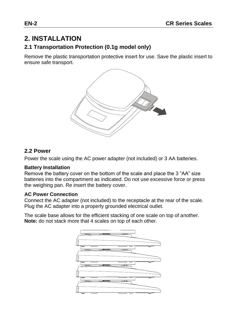# **2. INSTALLATION**

## **2.1 Transportation Protection (0.1g model only)**

Remove the plastic transportation protective insert for use. Save the plastic insert to ensure safe transport.



#### **2.2 Power**

Power the scale using the AC power adapter (not included) or 3 AA batteries.

#### **Battery Installation**

Remove the battery cover on the bottom of the scale and place the 3 "AA" size batteries into the compartment as indicated. Do not use excessive force or press the weighing pan. Re insert the battery cover.

#### **AC Power Connection**

Connect the AC adapter (not included) to the receptacle at the rear of the scale. Plug the AC adapter into a properly grounded electrical outlet.

The scale base allows for the efficient stacking of one scale on top of another. **Note:** do not stack more that 4 scales on top of each other.

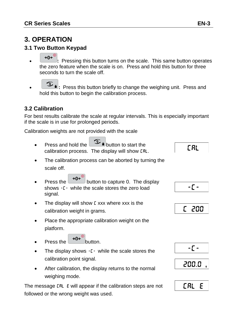# **3. OPERATION**

## **3.1 Two Button Keypad**

- $\overline{20}$  **:** Pressing this button turns on the scale. This same button operates the zero feature when the scale is on. Press and hold this button for three seconds to turn the scale off.
- **1** Press this button briefly to change the weighing unit. Press and hold this button to begin the calibration process.

# **3.2 Calibration**

For best results calibrate the scale at regular intervals. This is especially important if the scale is in use for prolonged periods.

Calibration weights are not provided with the scale

- Press and hold the **button to start the** calibration process. The display will show CAL.
- The calibration process can be aborted by turning the scale off.
- Press the  $\rightarrow 0e^{i\theta}$  button to capture 0. The display shows -C- while the scale stores the zero load signal.
- The display will show E xxx where xxx is the calibration weight in grams.
- Place the appropriate calibration weight on the platform.
- Press the  $\rightarrow 0$ <sup>e</sup> button.
- The display shows [ while the scale stores the calibration point signal.
- After calibration, the display returns to the normal weighing mode.

The message LRL E will appear if the calibration steps are not followed or the wrong weight was used.

**CAL** 









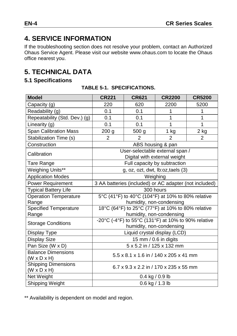# **4. SERVICE INFORMATION**

If the troubleshooting section does not resolve your problem, contact an Authorized Ohaus Service Agent. Please visit our website www.ohaus.com to locate the Ohaus office nearest you.

# **5. TECHNICAL DATA**

## **5.1 Specifications**

| <b>Model</b>                                          | <b>CR221</b>                                           | <b>CR621</b>                     | <b>CR2200</b>                | <b>CR5200</b>  |  |
|-------------------------------------------------------|--------------------------------------------------------|----------------------------------|------------------------------|----------------|--|
| Capacity (g)                                          | 220                                                    | 620                              | 2200                         | 5200           |  |
| Readability (g)                                       | 0.1                                                    | 0.1                              | 1                            | 1              |  |
| Repeatability (Std. Dev.) (g)                         | 0.1                                                    | 0.1                              | 1                            | 1              |  |
| Linearity (g)                                         | 0.1                                                    | 0.1                              | 1                            | 1              |  |
| <b>Span Calibration Mass</b>                          | 200 g                                                  | 500 <sub>g</sub>                 | 1 kg                         | 2 kg           |  |
| Stabilization Time (s)                                | 2                                                      | $\mathfrak{p}$                   | $\overline{2}$               | $\overline{2}$ |  |
| Construction                                          |                                                        |                                  | ABS housing & pan            |                |  |
| Calibration                                           |                                                        | User-selectable external span /  | Digital with external weight |                |  |
| Tare Range                                            |                                                        |                                  | Full capacity by subtraction |                |  |
| Weighing Units**                                      |                                                        | g, oz, ozt, dwt, lb:oz,taels (3) |                              |                |  |
| <b>Application Modes</b>                              | Weighing                                               |                                  |                              |                |  |
| Power Requirement                                     | 3 AA batteries (included) or AC adapter (not included) |                                  |                              |                |  |
| <b>Typical Battery Life</b>                           | 300 hours                                              |                                  |                              |                |  |
| <b>Operation Temperature</b>                          | 5°C (41°F) to 40°C (104°F) at 10% to 80% relative      |                                  |                              |                |  |
| Range                                                 | humidity, non-condensing                               |                                  |                              |                |  |
| <b>Specified Temperature</b>                          | 18°C (64°F) to 25°C (77°F) at 10% to 80% relative      |                                  |                              |                |  |
| Range                                                 | humidity, non-condensing                               |                                  |                              |                |  |
| <b>Storage Conditions</b>                             | -20°C (-4°F) to 55°C (131°F) at 10% to 90% relative    |                                  |                              |                |  |
|                                                       |                                                        |                                  | humidity, non-condensing     |                |  |
| Display Type                                          | Liquid crystal display (LCD)                           |                                  |                              |                |  |
| <b>Display Size</b>                                   | 15 mm / 0.6 in digits                                  |                                  |                              |                |  |
| Pan Size (W x D)                                      | 5 x 5.2 in / 125 x 132 mm                              |                                  |                              |                |  |
| <b>Balance Dimensions</b><br>$(W \times D \times H)$  | 5.5 x 8.1 x 1.6 in / 140 x 205 x 41 mm                 |                                  |                              |                |  |
| <b>Shipping Dimensions</b><br>$(W \times D \times H)$ | 6.7 x 9.3 x 2.2 in / 170 x 235 x 55 mm                 |                                  |                              |                |  |
| Net Weight                                            | $0.4$ kg / 0.9 lb                                      |                                  |                              |                |  |
| Shipping Weight                                       | 0.6 kg / 1.3 lb                                        |                                  |                              |                |  |

\*\* Availability is dependent on model and region.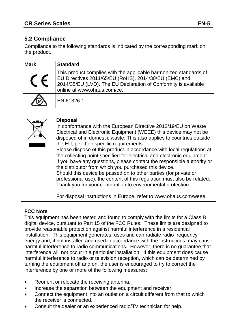## **5.2 Compliance**

Compliance to the following standards is indicated by the corresponding mark on the product.

| <b>Mark</b> | <b>Standard</b>                                                                                                                                                                                                              |
|-------------|------------------------------------------------------------------------------------------------------------------------------------------------------------------------------------------------------------------------------|
|             | This product complies with the applicable harmonized standards of<br>EU Directives 2011/65/EU (RoHS), 2014/30/EU (EMC) and<br>2014/35/EU (LVD). The EU Declaration of Conformity is available<br>online at www.ohaus.com/ce. |
|             | EN 61326-1                                                                                                                                                                                                                   |

| <b>Disposal</b><br>In conformance with the European Directive 2012/19/EU on Waste<br>Electrical and Electronic Equipment (WEEE) this device may not be<br>disposed of in domestic waste. This also applies to countries outside<br>the EU, per their specific requirements.<br>Please dispose of this product in accordance with local regulations at<br>the collecting point specified for electrical and electronic equipment.<br>If you have any questions, please contact the responsible authority or<br>the distributor from which you purchased this device.<br>Should this device be passed on to other parties (for private or<br>professional use), the content of this regulation must also be related.<br>Thank you for your contribution to environmental protection. |
|------------------------------------------------------------------------------------------------------------------------------------------------------------------------------------------------------------------------------------------------------------------------------------------------------------------------------------------------------------------------------------------------------------------------------------------------------------------------------------------------------------------------------------------------------------------------------------------------------------------------------------------------------------------------------------------------------------------------------------------------------------------------------------|
| For disposal instructions in Europe, refer to www.ohaus.com/weee.                                                                                                                                                                                                                                                                                                                                                                                                                                                                                                                                                                                                                                                                                                                  |

#### **FCC Note**

This equipment has been tested and found to comply with the limits for a Class B digital device, pursuant to Part 15 of the FCC Rules. These limits are designed to provide reasonable protection against harmful interference in a residential installation. This equipment generates, uses and can radiate radio frequency energy and, if not installed and used in accordance with the instructions, may cause harmful interference to radio communications. However, there is no guarantee that interference will not occur in a particular installation. If this equipment does cause harmful interference to radio or television reception, which can be determined by turning the equipment off and on, the user is encouraged to try to correct the interference by one or more of the following measures:

- Reorient or relocate the receiving antenna.
- Increase the separation between the equipment and receiver.
- Connect the equipment into an outlet on a circuit different from that to which the receiver is connected.
- Consult the dealer or an experienced radio/TV technician for help.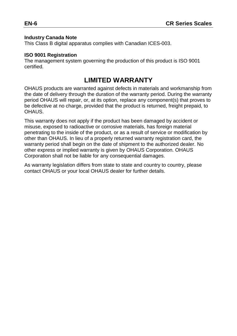#### **Industry Canada Note**

This Class B digital apparatus complies with Canadian ICES-003.

#### **ISO 9001 Registration**

The management system governing the production of this product is ISO 9001 certified.

# **LIMITED WARRANTY**

OHAUS products are warranted against defects in materials and workmanship from the date of delivery through the duration of the warranty period. During the warranty period OHAUS will repair, or, at its option, replace any component(s) that proves to be defective at no charge, provided that the product is returned, freight prepaid, to **OHAUS** 

This warranty does not apply if the product has been damaged by accident or misuse, exposed to radioactive or corrosive materials, has foreign material penetrating to the inside of the product, or as a result of service or modification by other than OHAUS. In lieu of a properly returned warranty registration card, the warranty period shall begin on the date of shipment to the authorized dealer. No other express or implied warranty is given by OHAUS Corporation. OHAUS Corporation shall not be liable for any consequential damages.

As warranty legislation differs from state to state and country to country, please contact OHAUS or your local OHAUS dealer for further details.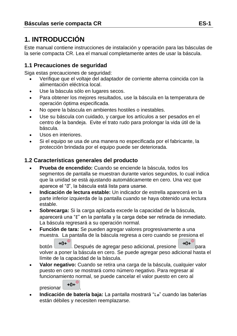# **1. INTRODUCCIÓN**

Este manual contiene instrucciones de instalación y operación para las básculas de la serie compacta CR. Lea el manual completamente antes de usar la báscula.

#### **1.1 Precauciones de seguridad**

Siga estas precauciones de seguridad:

- Verifique que el voltaje del adaptador de corriente alterna coincida con la alimentación eléctrica local.
- Use la báscula sólo en lugares secos.
- Para obtener los mejores resultados, use la báscula en la temperatura de operación óptima especificada.
- No opere la báscula en ambientes hostiles o inestables.
- Use su báscula con cuidado, y cargue los artículos a ser pesados en el centro de la bandeja. Evite el trato rudo para prolongar la vida útil de la báscula.
- Usos en interiores.
- Si el equipo se usa de una manera no especificada por el fabricante, la protección brindada por el equipo puede ser deteriorada.

## **1.2 Características generales del producto**

- **Prueba de encendido:** Cuando se enciende la báscula, todos los segmentos de pantalla se muestran durante varios segundos, lo cual indica que la unidad se está ajustando automáticamente en cero. Una vez que aparece el "0", la báscula está lista para usarse.
- **Indicación de lectura estable:** Un indicador de estrella aparecerá en la parte inferior izquierda de la pantalla cuando se haya obtenido una lectura estable.
- **Sobrecarga:** Si la carga aplicada excede la capacidad de la báscula, aparecerá una "E" en la pantalla y la carga debe ser retirada de inmediato. La báscula regresará a su operación normal.
- **Función de tara:** Se pueden agregar valores progresivamente a una muestra. La pantalla de la báscula regresa a cero cuando se presiona el

botón **→0←**<sup>0</sup>, Después de agregar peso adicional, presione →0←<sup>0</sup> para volver a poner la báscula en cero. Se puede agregar peso adicional hasta el límite de la capacidad de la báscula.

 **Valor negativo:** Cuando se retira una carga de la báscula, cualquier valor puesto en cero se mostrará como número negativo. Para regresar al funcionamiento normal, se puede cancelar el valor puesto en cero al

presionar  $\rightarrow 0$ <sup>O</sup>

 **Indicación de batería baja:** La pantalla mostrará "Lo" cuando las baterías están débiles y necesiten reemplazarse.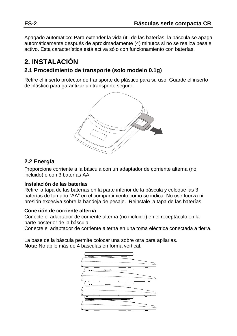Apagado automático: Para extender la vida útil de las baterías, la báscula se apaga automáticamente después de aproximadamente (4) minutos si no se realiza pesaje activo. Esta característica está activa sólo con funcionamiento con baterías.

# **2. INSTALACIÓN**

## **2.1 Procedimiento de transporte (solo modelo 0.1g)**

Retire el inserto protector de transporte de plástico para su uso. Guarde el inserto de plástico para garantizar un transporte seguro.



## **2.2 Energía**

Proporcione corriente a la báscula con un adaptador de corriente alterna (no incluido) o con 3 baterías AA.

#### **Instalación de las baterías**

Retire la tapa de las baterías en la parte inferior de la báscula y coloque las 3 baterías de tamaño "AA" en el compartimiento como se indica. No use fuerza ni presión excesiva sobre la bandeja de pesaje. Reinstale la tapa de las baterías.

#### **Conexión de corriente alterna**

Conecte el adaptador de corriente alterna (no incluido) en el receptáculo en la parte posterior de la báscula.

Conecte el adaptador de corriente alterna en una toma eléctrica conectada a tierra.

La base de la báscula permite colocar una sobre otra para apilarlas. **Nota:** No apile más de 4 básculas en forma vertical.

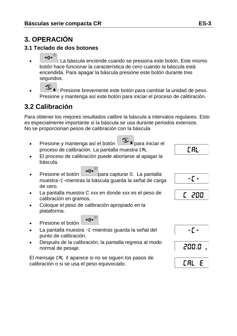# **3. OPERACIÓN**

## **3.1 Teclado de dos botones**

- $\rightarrow 0 + \infty$  **:** La báscula enciende cuando se presiona este botón. Este mismo botón hace funcionar la característica de cero cuando la báscula está encendida. Para apagar la báscula presione este botón durante tres segundos.
- **1** Presione brevemente este botón para cambiar la unidad de peso. Presione y mantenga así este botón para iniciar el proceso de calibración.

# **3.2 Calibración**

Para obtener los mejores resultados calibre la báscula a intervalos regulares. Esto es especialmente importante si la báscula se usa durante periodos extensos. No se proporcionan pesos de calibración con la báscula

Presione y mantenga así el botón para iniciar el proceso de calibración. La pantalla muestra CAL.

#### El proceso de calibración puede abortarse al apagar la báscula.

- Presione el botón  $\rightarrow 0^{\leftarrow}$ para capturar 0. La pantalla muestra-C-mientras la báscula guarda la señal de carga de cero.
- La pantalla muestra C xxx en donde xxx es el peso de calibración en gramos.
- Coloque el peso de calibración apropiado en la plataforma.
- Presione el botón  $\rightarrow 0$ <sup>O</sup>
- La pantalla muestra [ mientras guarda la señal del punto de calibración.
- Después de la calibración, la pantalla regresa al modo normal de pesaje.

El mensaje CAL E aparece si no se siguen los pasos de calibración o si se usa el peso equivocado.

**CAL** 









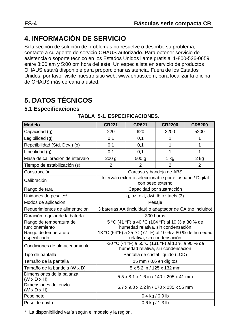# **4. INFORMACIÓN DE SERVICIO**

Si la sección de solución de problemas no resuelve o describe su problema, contacte a su agente de servicio OHAUS autorizado. Para obtener servicio de asistencia o soporte técnico en los Estados Unidos llame gratis al 1-800-526-0659 entre 8:00 am y 5:00 pm hora del este. Un especialista en servicio de productos OHAUS estará disponible para proporcionar asistencia. Fuera de los Estados Unidos, por favor visite nuestro sitio web, www.ohaus.com, para localizar la oficina de OHAUS más cercana a usted.

# **5. DATOS TÉCNICOS**

## **5.1 Especificaciones**

| <b>Modelo</b>                                        | <b>CR221</b>                                                                           | <b>CR621</b>                                             | <b>CR2200</b>             | <b>CR5200</b> |
|------------------------------------------------------|----------------------------------------------------------------------------------------|----------------------------------------------------------|---------------------------|---------------|
| Capacidad (g)                                        | 220                                                                                    | 620                                                      | 2200                      | 5200          |
| Legibilidad (g)                                      | 0,1                                                                                    | 0,1                                                      | 1                         | 1             |
| Repetibilidad (Std. Dev.) (g)                        | 0,1                                                                                    | 0,1                                                      | 1                         | 1             |
| Linealidad (g)                                       | 0,1                                                                                    | 0,1                                                      | 1                         | 1             |
| Masa de calibración de intervalo                     | 200 <sub>g</sub>                                                                       | 500 <sub>g</sub>                                         | $1$ kg                    | 2 kg          |
| Tiempo de estabilización (s)                         | 2                                                                                      | 2                                                        | 2                         | 2             |
| Construcción                                         |                                                                                        | Carcasa y bandeja de ABS                                 |                           |               |
| Calibración                                          |                                                                                        | Intervalo externo seleccionable por el usuario / Digital | con peso externo          |               |
| Rango de tara                                        |                                                                                        |                                                          | Capacidad por sustracción |               |
| Unidades de pesaje**                                 | $g$ , oz, ozt, dwt, $lb$ : oz, taels $(3)$                                             |                                                          |                           |               |
| Modos de aplicación                                  | Pesaje                                                                                 |                                                          |                           |               |
| Requerimientos de alimentación                       | 3 baterías AA (incluidas) o adaptador de CA (no incluido)                              |                                                          |                           |               |
| Duración regular de la batería                       | 300 horas                                                                              |                                                          |                           |               |
| Rango de temperatura de<br>funcionamiento            | 5 °C (41 °F) a 40 °C (104 °F) al 10 % a 80 % de<br>humedad relativa, sin condensación  |                                                          |                           |               |
| Rango de temperatura                                 | 18 °C (64°F) a 25 °C (77 °F) al 10 % a 80 % de humedad                                 |                                                          |                           |               |
| especificado                                         | relativa, sin condensación                                                             |                                                          |                           |               |
| Condiciones de almacenamiento                        | -20 °C (-4 °F) a 55°C (131 °F) al 10 % a 90 % de<br>humedad relativa, sin condensación |                                                          |                           |               |
| Tipo de pantalla                                     | Pantalla de cristal líquido (LCD)                                                      |                                                          |                           |               |
| Tamaño de la pantalla                                | 15 mm / 0,6 en dígitos                                                                 |                                                          |                           |               |
| Tamaño de la bandeja (W x D)                         | 5 x 5.2 in / 125 x 132 mm                                                              |                                                          |                           |               |
| Dimensiones de la balanza<br>$(W \times D \times H)$ | 5.5 x 8.1 x 1.6 in / 140 x 205 x 41 mm                                                 |                                                          |                           |               |
| Dimensiones del envío<br>$(W \times D \times H)$     | 6.7 x 9.3 x 2.2 in / 170 x 235 x 55 mm                                                 |                                                          |                           |               |
| Peso neto                                            | $0,4$ kg / $0,9$ lb                                                                    |                                                          |                           |               |
| Peso de envío                                        | $0,6$ kg / 1,3 lb                                                                      |                                                          |                           |               |

#### **TABLA 5-1. ESPECIFICACIONES.**

\*\* La disponibilidad varía según el modelo y la región.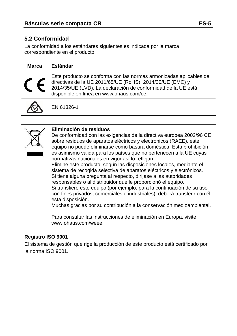## **5.2 Conformidad**

La conformidad a los estándares siguientes es indicada por la marca correspondiente en el producto

| <b>Marca</b> | Estándar                                                                                                                                                                                                                                     |
|--------------|----------------------------------------------------------------------------------------------------------------------------------------------------------------------------------------------------------------------------------------------|
|              | Este producto se conforma con las normas armonizadas aplicables de<br>directivas de la UE 2011/65/UE (RoHS), 2014/30/UE (EMC) y<br>2014/35/UE (LVD). La declaración de conformidad de la UE está<br>disponible en línea en www.ohaus.com/ce. |
|              | EN 61326-1                                                                                                                                                                                                                                   |

| Eliminación de residuos<br>De conformidad con las exigencias de la directiva europea 2002/96 CE<br>sobre residuos de aparatos eléctricos y electrónicos (RAEE), este<br>equipo no puede eliminarse como basura doméstica. Esta prohibición<br>es asimismo válida para los países que no pertenecen a la UE cuyas<br>normativas nacionales en vigor así lo reflejan.<br>Elimine este producto, según las disposiciones locales, mediante el<br>sistema de recogida selectiva de aparatos eléctricos y electrónicos.<br>Si tiene alguna pregunta al respecto, diríjase a las autoridades<br>responsables o al distribuidor que le proporcionó el equipo.<br>Si transfiere este equipo (por ejemplo, para la continuación de su uso<br>con fines privados, comerciales o industriales), deberá transferir con él |
|---------------------------------------------------------------------------------------------------------------------------------------------------------------------------------------------------------------------------------------------------------------------------------------------------------------------------------------------------------------------------------------------------------------------------------------------------------------------------------------------------------------------------------------------------------------------------------------------------------------------------------------------------------------------------------------------------------------------------------------------------------------------------------------------------------------|
| esta disposición.<br>Muchas gracias por su contribución a la conservación medioambiental.                                                                                                                                                                                                                                                                                                                                                                                                                                                                                                                                                                                                                                                                                                                     |
| Para consultar las instrucciones de eliminación en Europa, visite<br>www.ohaus.com/weee.                                                                                                                                                                                                                                                                                                                                                                                                                                                                                                                                                                                                                                                                                                                      |

#### **Registro ISO 9001**

El sistema de gestión que rige la producción de este producto está certificado por la norma ISO 9001.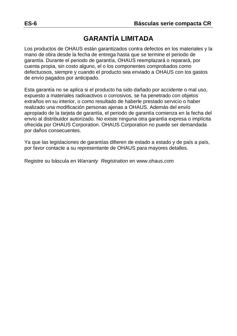# **GARANTÍA LIMITADA**

Los productos de OHAUS están garantizados contra defectos en los materiales y la mano de obra desde la fecha de entrega hasta que se termine el periodo de garantía. Durante el periodo de garantía, OHAUS reemplazará o reparará, por cuenta propia, sin costo alguno, el o los componentes comprobados como defectuosos, siempre y cuando el producto sea enviado a OHAUS con los gastos de envío pagados por anticipado.

Esta garantía no se aplica si el producto ha sido dañado por accidente o mal uso, expuesto a materiales radioactivos o corrosivos, se ha penetrado con objetos extraños en su interior, o como resultado de haberle prestado servicio o haber realizado una modificación personas ajenas a OHAUS. Además del envío apropiado de la tarjeta de garantía, el periodo de garantía comienza en la fecha del envío al distribuidor autorizado. No existe ninguna otra garantía expresa o implícita ofrecida por OHAUS Corporation. OHAUS Corporation no puede ser demandada por daños consecuentes.

Ya que las legislaciones de garantías difieren de estado a estado y de país a país, por favor contacte a su representante de OHAUS para mayores detalles.

Registre su báscula en *Warranty Registration* en www.ohaus.com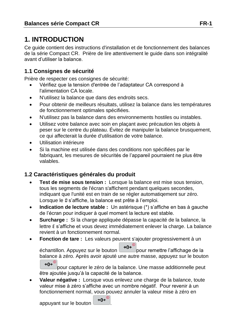# **1. INTRODUCTION**

Ce guide contient des instructions d'installation et de fonctionnement des balances de la série Compact CR. Prière de lire attentivement le guide dans son intégralité avant d'utiliser la balance.

# **1.1 Consignes de sécurité**

Prière de respecter ces consignes de sécurité:

- Vérifiez que la tension d'entrée de l'adaptateur CA correspond à l'alimentation CA locale.
- N'utilisez la balance que dans des endroits secs.
- Pour obtenir de meilleurs résultats, utilisez la balance dans les températures de fonctionnement optimales spécifiées.
- N'utilisez pas la balance dans des environnements hostiles ou instables.
- Utilisez votre balance avec soin en plaçant avec précaution les objets à peser sur le centre du plateau. Évitez de manipuler la balance brusquement, ce qui affecterait la durée d'utilisation de votre balance.
- Utilisation intérieure
- Si la machine est utilisée dans des conditions non spécifiées par le fabriquant, les mesures de sécurités de l'appareil pourraient ne plus être valables.

# **1.2 Caractéristiques générales du produit**

- **Test de mise sous tension :** Lorsque la balance est mise sous tension, tous les segments de l'écran s'affichent pendant quelques secondes, indiquant que l'unité est en train de se régler automatiqement sur zéro. Lorsque le 0 s'affiche, la balance est prête à l'emploi.
- **Indication de lecture stable :** Un astérisque (\*) s'affiche en bas à gauche de l'écran pour indiquer à quel moment la lecture est stable.
- **Surcharge :** Si la charge appliquée dépasse la capacité de la balance, la lettre E s'affiche et vous devez immédiatement enlever la charge. La balance revient à un fonctionnement normal.
- **Fonction de tare :** Les valeurs peuvent s'ajouter progressivement à un

échantillon. Appuyez sur le bouton  $\rightarrow 0 \leftarrow \infty$ pour remettre l'affichage de la balance à zéro. Après avoir ajouté une autre masse, appuyez sur le bouton  $\rightarrow 0 \leftarrow$ <sup>0</sup>

pour capturer le zéro de la balance. Une masse additionnelle peut être ajoutée jusqu'à la capacité de la balance.

 **Valeur négative :** Lorsque vous enlevez une charge de la balance, toute valeur mise à zéro s'affiche avec un nombre négatif. Pour revenir à un fonctionnement normal, vous pouvez annuler la valeur mise à zéro en

appuyant sur le bouton  $\rightarrow 0 \leftarrow 0$ 

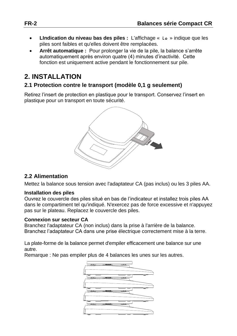- **LIndication du niveau bas des piles :** L'affichage « Lo » indique que les piles sont faibles et qu'elles doivent être remplacées.
- **Arrêt automatique :** Pour prolonger la vie de la pile, la balance s'arrête automatiquement après environ quatre (4) minutes d'inactivité. Cette fonction est uniquement active pendant le fonctionnement sur pile.

# **2. INSTALLATION**

## **2.1 Protection contre le transport (modèle 0,1 g seulement)**

Retirez l'insert de protection en plastique pour le transport. Conservez l'insert en plastique pour un transport en toute sécurité.



## **2.2 Alimentation**

Mettez la balance sous tension avec l'adaptateur CA (pas inclus) ou les 3 piles AA.

#### **Installation des piles**

Ouvrez le couvercle des piles situé en bas de l'indicateur et installez trois piles AA dans le compartiment tel qu'indiqué. N'exercez pas de force excessive et n'appuyez pas sur le plateau. Replacez le couvercle des piles.

#### **Connexion sur secteur CA**

Branchez l'adaptateur CA (non inclus) dans la prise à l'arrière de la balance. Branchez l'adaptateur CA dans une prise électrique correctement mise à la terre.

La plate-forme de la balance permet d'empiler efficacement une balance sur une autre.

Remarque : Ne pas empiler plus de 4 balances les unes sur les autres.

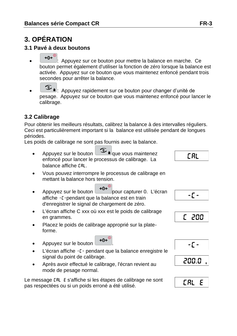# **3. OPÉRATION**

## **3.1 Pavé à deux boutons**

- <sup>10</sup>. Appuyez sur ce bouton pour mettre la balance en marche. Ce bouton permet également d'utiliser la fonction de zéro lorsque la balance est activée. Appuyez sur ce bouton que vous maintenez enfoncé pendant trois secondes pour arrêter la balance.
- : Appuyez rapidement sur ce bouton pour changer d'unité de pesage. Appuyez sur ce bouton que vous maintenez enfoncé pour lancer le calibrage.

## **3.2 Calibrage**

Pour obtenir les meilleurs résultats, calibrez la balance à des intervalles réguliers. Ceci est particulièrement important si la balance est utilisée pendant de longues périodes.

Les poids de calibrage ne sont pas fournis avec la balance.

- Appuyez sur le bouton que vous maintenez enfoncé pour lancer le processus de calibrage. La balance affiche CAL.
- Vous pouvez interrompre le processus de calibrage en mettant la balance hors tension.
- Appuyez sur le bouton  $\rightarrow 0 \leftarrow \infty$ pour capturer 0. L'écran affiche -C-pendant que la balance est en train d'enregistrer le signal de chargement de zéro.
- L'écran affiche C xxx où xxx est le poids de calibrage en grammes.
- Placez le poids de calibrage approprié sur la plateforme.
- Appuyez sur le bouton  $\rightarrow 0 \leftarrow \infty$
- L'écran affiche -C- pendant que la balance enregistre le signal du point de calibrage.
- Après avoir effectué le calibrage, l'écran revient au mode de pesage normal.

Le message CAL E s'affiche si les étapes de calibrage ne sont pas respectées ou si un poids erroné a été utilisé.



 $-\Gamma$  -







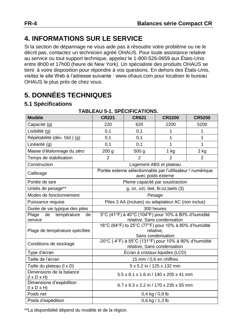# **4. INFORMATIONS SUR LE SERVICE**

Si la section de dépannage ne vous aide pas à résoudre votre problème ou ne le décrit pas, contactez un technicien agréé OHAUS. Pour toute assistance relative au service ou tout support technique, appelez le 1-800-526-0659 aux États-Unis entre 8h00 et 17h00 (heure de New York). Un spécialiste des produits OHAUS se tient à votre disposition pour répondre à vos questions. En dehors des États-Unis, visitez le site Web à l'adresse suivante : www.ohaus.com pour localiser le bureau OHAUS le plus près de chez vous.

# **5. DONNÉES TECHNIQUES**

## **5.1 Spécifications**

| . בסורטו העם ושם וס .ו כ<br><b>Modèle</b><br><b>CR221</b><br><b>CR621</b><br><b>CR2200</b><br><b>CR5200</b> |                                                                                      |                                                                                   |                         |                |  |  |
|-------------------------------------------------------------------------------------------------------------|--------------------------------------------------------------------------------------|-----------------------------------------------------------------------------------|-------------------------|----------------|--|--|
| Capacité (g)                                                                                                | 220                                                                                  | 620                                                                               | 2200                    | 5200           |  |  |
| Lisibilité (g)                                                                                              | 0,1                                                                                  | 0,1                                                                               | 1                       | 1              |  |  |
| Répétabilité (dév. Std.) (g)                                                                                | 0,1                                                                                  | 0,1                                                                               | 1                       | 1              |  |  |
| Linéarité (q)                                                                                               | 0,1                                                                                  | 0,1                                                                               | 1                       | 1              |  |  |
| Masse d'étalonnage du zéro                                                                                  | 200 <sub>g</sub>                                                                     | 500 <sub>g</sub>                                                                  | $1$ kg                  | 2 kg           |  |  |
| Temps de stabilisation                                                                                      | $\overline{2}$                                                                       | $\mathfrak{p}$                                                                    | $\mathfrak{p}$          | $\overline{2}$ |  |  |
| Construction                                                                                                |                                                                                      |                                                                                   | Logement ABS et plateau |                |  |  |
| Calibrage                                                                                                   |                                                                                      | Portée externe sélectionnable par l'utilisateur / numérique<br>avec poids externe |                         |                |  |  |
| Portée de tare                                                                                              |                                                                                      | Pleine capacité par soustraction                                                  |                         |                |  |  |
| Unités de pesage**                                                                                          |                                                                                      | g, oz, ozt, dwt, lb:oz, taels (3)                                                 |                         |                |  |  |
| Modes de fonctionnement                                                                                     | Pesage                                                                               |                                                                                   |                         |                |  |  |
| Puissance requise                                                                                           | Piles 3 AA (inclues) ou adaptateur AC (non inclus)                                   |                                                                                   |                         |                |  |  |
| Durée de vie typique des piles                                                                              | 300 heures                                                                           |                                                                                   |                         |                |  |  |
| Plage<br>de température<br>de                                                                               | 5°C (41°F) à 40°C (104°F) pour 10% à 80% d'humidité                                  |                                                                                   |                         |                |  |  |
| service                                                                                                     | relative, Sans condensation<br>18°C (64°F) to 25°C (77°F) pour 10% à 80% d'humidité  |                                                                                   |                         |                |  |  |
| Plage de température spécifiée                                                                              |                                                                                      |                                                                                   | relative,               |                |  |  |
|                                                                                                             |                                                                                      |                                                                                   | Sans condensation       |                |  |  |
| Conditions de stockage                                                                                      | -20°C (-4°F) à 55°C (131°F) pour 10% à 90% d'humidité<br>relative, Sans condensation |                                                                                   |                         |                |  |  |
| Type d'écran                                                                                                | Écran à cristaux liquides (LCD)                                                      |                                                                                   |                         |                |  |  |
| Taille de l'écran                                                                                           | 15 mm / 0,6 en chiffres                                                              |                                                                                   |                         |                |  |  |
| Taille du plateau (I x D)                                                                                   | 5 x 5.2 in / 125 x 132 mm                                                            |                                                                                   |                         |                |  |  |
| Dimensions de la balance<br>$(I \times D \times H)$                                                         | 5.5 x 8.1 x 1.6 in / 140 x 205 x 41 mm                                               |                                                                                   |                         |                |  |  |
| Dimensions d'expédition<br>$(I \times D \times H)$                                                          | 6.7 x 9.3 x 2.2 in / 170 x 235 x 55 mm                                               |                                                                                   |                         |                |  |  |
| Poids net                                                                                                   | $0,4$ kg / $0,9$ lb                                                                  |                                                                                   |                         |                |  |  |
| Poids d'expédition                                                                                          | $0,6$ kg $/ 1,3$ lb                                                                  |                                                                                   |                         |                |  |  |

#### **TABLEAU 5-1. SPÉCIFICATIONS.**

\*\*La disponibilité dépend du modèle et de la région.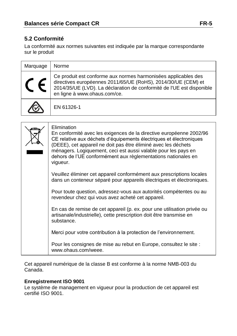## **5.2 Conformité**

La conformité aux normes suivantes est indiquée par la marque correspondante sur le produit

| Marquage | Norme                                                                                                                                                                                                                                    |
|----------|------------------------------------------------------------------------------------------------------------------------------------------------------------------------------------------------------------------------------------------|
|          | Ce produit est conforme aux normes harmonisées applicables des<br>directives européennes 2011/65/UE (RoHS), 2014/30/UE (CEM) et<br>2014/35/UE (LVD). La déclaration de conformité de l'UE est disponible<br>en ligne à www.ohaus.com/ce. |
|          | EN 61326-1                                                                                                                                                                                                                               |

| Elimination<br>En conformité avec les exigences de la directive européenne 2002/96<br>CE relative aux déchets d'équipements électriques et électroniques<br>(DEEE), cet appareil ne doit pas être éliminé avec les déchets<br>ménagers. Logiquement, ceci est aussi valable pour les pays en<br>dehors de l'UE conformément aux règlementations nationales en<br>vigueur. |
|---------------------------------------------------------------------------------------------------------------------------------------------------------------------------------------------------------------------------------------------------------------------------------------------------------------------------------------------------------------------------|
| Veuillez éliminer cet appareil conformément aux prescriptions locales<br>dans un conteneur séparé pour appareils électriques et électroniques.                                                                                                                                                                                                                            |
| Pour toute question, adressez-vous aux autorités compétentes ou au<br>revendeur chez qui vous avez acheté cet appareil.                                                                                                                                                                                                                                                   |
| En cas de remise de cet appareil (p. ex. pour une utilisation privée ou<br>artisanale/industrielle), cette prescription doit être transmise en<br>substance.                                                                                                                                                                                                              |
| Merci pour votre contribution à la protection de l'environnement.                                                                                                                                                                                                                                                                                                         |
| Pour les consignes de mise au rebut en Europe, consultez le site :<br>www.ohaus.com/weee.                                                                                                                                                                                                                                                                                 |

Cet appareil numérique de la classe B est conforme à la norme NMB-003 du Canada.

#### **Enregistrement ISO 9001**

Le système de management en vigueur pour la production de cet appareil est certifié ISO 9001.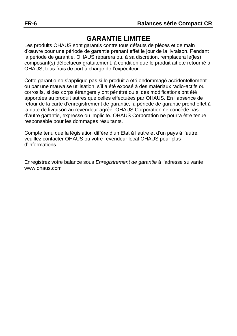# **GARANTIE LIMITEE**

Les produits OHAUS sont garantis contre tous défauts de pièces et de main d'œuvre pour une période de garantie prenant effet le jour de la livraison. Pendant la période de garantie, OHAUS réparera ou, à sa discrétion, remplacera le(les) composant(s) défectueux gratuitement, à condition que le produit ait été retourné à OHAUS, tous frais de port à charge de l'expéditeur.

Cette garantie ne s'applique pas si le produit a été endommagé accidentellement ou par une mauvaise utilisation, s'il a été exposé à des matériaux radio-actifs ou corrosifs, si des corps étrangers y ont pénétré ou si des modifications ont été apportées au produit autres que celles effectuées par OHAUS. En l'absence de retour de la carte d'enregistrement de garantie, la période de garantie prend effet à la date de livraison au revendeur agréé. OHAUS Corporation ne concède pas d'autre garantie, expresse ou implicite. OHAUS Corporation ne pourra être tenue responsable pour les dommages résultants.

Compte tenu que la législation diffère d'un Etat à l'autre et d'un pays à l'autre, veuillez contacter OHAUS ou votre revendeur local OHAUS pour plus d'informations.

Enregistrez votre balance sous *Enregistrement de garantie* à l'adresse suivante www.ohaus.com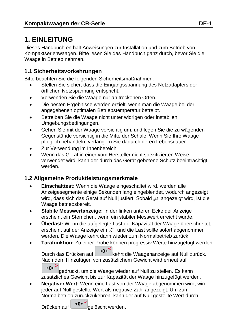# **1. EINLEITUNG**

Dieses Handbuch enthält Anweisungen zur Installation und zum Betrieb von Kompaktserienwaagen. Bitte lesen Sie das Handbuch ganz durch, bevor Sie die Waage in Betrieb nehmen.

## **1.1 Sicherheitsvorkehrungen**

Bitte beachten Sie die folgenden Sicherheitsmaßnahmen:

- Stellen Sie sicher, dass die Eingangsspannung des Netzadapters der örtlichen Netzspannung entspricht.
- Verwenden Sie die Waage nur an trockenen Orten.
- Die besten Ergebnisse werden erzielt, wenn man die Waage bei der angegebenen optimalen Betriebstemperatur betreibt.
- Betreiben Sie die Waage nicht unter widrigen oder instabilen Umgebungsbedingungen.
- Gehen Sie mit der Waage vorsichtig um, und legen Sie die zu wägenden Gegenstände vorsichtig in die Mitte der Schale. Wenn Sie Ihre Waage pfleglich behandeln, verlängern Sie dadurch deren Lebensdauer.
- Zur Verwendung im Innenbereich
- Wenn das Gerät in einer vom Hersteller nicht spezifizierten Weise verwendet wird, kann der durch das Gerät gebotene Schutz beeinträchtigt werden.

## **1.2 Allgemeine Produktleistungsmerkmale**

- **Einschalttest:** Wenn die Waage eingeschaltet wird, werden alle Anzeigesegmente einige Sekunden lang eingeblendet, wodurch angezeigt wird, dass sich das Gerät auf Null justiert. Sobald "0" angezeigt wird, ist die Waage betriebsbereit.
- **Stabile Messwertanzeige:** In der linken unteren Ecke der Anzeige erscheint ein Sternchen, wenn ein stabiler Messwert erreicht wurde.
- **Überlast:** Wenn die aufgelegte Last die Kapazität der Waage überschreitet, erscheint auf der Anzeige ein "E", und die Last sollte sofort abgenommen werden. Die Waage kehrt dann wieder zum Normalbetrieb zurück.
- **Tarafunktion:** Zu einer Probe können progressiv Werte hinzugefügt werden.

Durch das Drücken auf  $\bigcup_{i=0}^{\infty}$ kehrt die Waagenanzeige auf Null zurück. Nach dem Hinzufügen von zusätzlichem Gewicht wird erneut auf  $\rightarrow 0e^{0}$ 

gedrückt, um die Waage wieder auf Null zu stellen. Es kann zusätzliches Gewicht bis zur Kapazität der Waage hinzugefügt werden.

 **Negativer Wert:** Wenn eine Last von der Waage abgenommen wird, wird jeder auf Null gestellte Wert als negative Zahl angezeigt. Um zum Normalbetrieb zurückzukehren, kann der auf Null gestellte Wert durch

Drücken auf  $\left[\rightarrow 0 \leftarrow \right]$  gelöscht werden.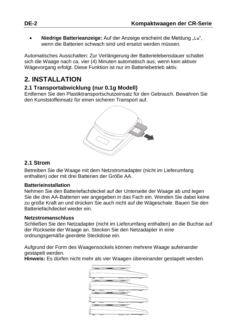**Niedrige Batterieanzeige:** Auf der Anzeige erscheint die Meldung "Lo", wenn die Batterien schwach sind und ersetzt werden müssen.

Automatisches Ausschalten: Zur Verlängerung der Batterielebensdauer schaltet sich die Waage nach ca. vier (4) Minuten automatisch aus, wenn kein aktiver Wägevorgang erfolgt. Diese Funktion ist nur im Batteriebetrieb aktiv.

# **2. INSTALLATION**

#### **2.1 Transportabwicklung (nur 0.1g Modell)**

Entfernen Sie den Plastiktransportschutzeinsatz für den Gebrauch. Bewahren Sie den Kunststoffeinsatz für einen sicheren Transport auf.



#### **2.1 Strom**

Betreiben Sie die Waage mit dem Netzstromadapter (nicht im Lieferumfang enthalten) oder mit drei Batterien der Größe AA.

#### **Batterieinstallation**

Nehmen Sie den Batteriefachdeckel auf der Unterseite der Waage ab und legen Sie die drei AA-Batterien wie angegeben in das Fach ein. Wenden Sie dabei keine zu große Kraft an und drücken Sie auch nicht auf die Wägeschale. Bauen Sie den Batteriefachdeckel wieder ein.

#### **Netzstromanschluss**

Schließen Sie den Netzadapter (nicht im Lieferumfang enthalten) an die Buchse auf der Rückseite der Waage an. Stecken Sie den Netzadapter in eine ordnungsgemäße geerdete Steckdose ein.

Aufgrund der Form des Waagensockels können mehrere Waage aufeinander gestapelt werden.

**Hinweis:** Es dürfen nicht mehr als vier Waagen übereinander gestapelt werden.

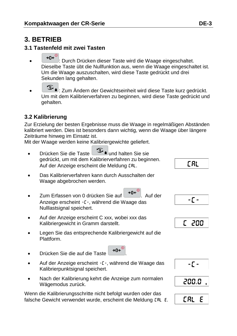# **3. BETRIEB**

#### **3.1 Tastenfeld mit zwei Tasten**

- : Durch Drücken dieser Taste wird die Waage eingeschaltet. Dieselbe Taste übt die Nullfunktion aus, wenn die Waage eingeschaltet ist. Um die Waage auszuschalten, wird diese Taste gedrückt und drei Sekunden lang gehalten.
- $\circled{1}$ : Zum Ändern der Gewichtseinheit wird diese Taste kurz gedrückt. Um mit dem Kalibrierverfahren zu beginnen, wird diese Taste gedrückt und gehalten.

## **3.2 Kalibrierung**

Zur Erzielung der besten Ergebnisse muss die Waage in regelmäßigen Abständen kalibriert werden. Dies ist besonders dann wichtig, wenn die Waage über längere Zeiträume hinweg im Einsatz ist.

Mit der Waage werden keine Kalibriergewichte geliefert.

- Drücken Sie die Taste und halten Sie sie gedrückt, um mit dem Kalibrierverfahren zu beginnen. Auf der Anzeige erscheint die Meldung CAL.
- Das Kalibrierverfahren kann durch Ausschalten der Waage abgebrochen werden.
- Zum Erfassen von 0 drücken Sie auf → 0 ↔ 0. Auf der Anzeige erscheint -C-, während die Waage das Nulllastsignal speichert.
- Auf der Anzeige erscheint C xxx, wobei xxx das Kalibriergewicht in Gramm darstellt.
- Legen Sie das entsprechende Kalibriergewicht auf die Plattform.
- **Drücken Sie die auf die Taste**  $\begin{bmatrix} \rightarrow 0^{\mathbb{C}} \\ \rightarrow 0^{\mathbb{C}} \end{bmatrix}$
- Auf der Anzeige erscheint -C-, während die Waage das Kalibrierpunktsignal speichert.
- Nach der Kalibrierung kehrt die Anzeige zum normalen Wägemodus zurück.

Wenn die Kalibrierungsschritte nicht befolgt wurden oder das falsche Gewicht verwendet wurde, erscheint die Meldung CAL E. **CAL** 

- ۲ -







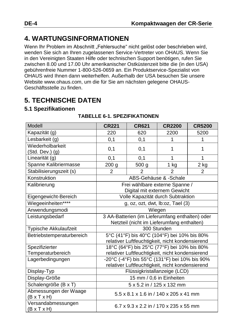# **4. WARTUNGSINFORMATIONEN**

Wenn Ihr Problem im Abschnitt "Fehlersuche" nicht gelöst oder beschrieben wird, wenden Sie sich an Ihren zugelassenen Service-Vertreter von OHAUS. Wenn Sie in den Vereinigten Staaten Hilfe oder technischen Support benötigen, rufen Sie zwischen 8.00 und 17.00 Uhr amerikanischer Ostküstenzeit bitte die (in den USA) gebührenfreie Nummer 1-800-526-0659 an. Ein Produktservice-Spezialist von OHAUS wird Ihnen dann weiterhelfen. Außerhalb der USA besuchen Sie unsere Website www.ohaus.com, um die für Sie am nächsten gelegene OHAUS-Geschäftsstelle zu finden.

# **5. TECHNISCHE DATEN**

## **5.1 Spezifikationen**

| Modell                                           | <b>CR221</b>                                                                                     | <b>CR621</b>                                                   | <b>CR2200</b>  | <b>CR5200</b>  |
|--------------------------------------------------|--------------------------------------------------------------------------------------------------|----------------------------------------------------------------|----------------|----------------|
| Kapazität (g)                                    | 220                                                                                              | 620                                                            | 2200           | 5200           |
| Lesbarkeit (g)                                   | 0,1                                                                                              | 0,1                                                            | 1              | 1              |
| Wiederholbarkeit<br>$(Std. Dev.)$ $(g)$          | 0,1                                                                                              | 0,1                                                            | 1              | 1              |
| Linearität (g)                                   | 0,1                                                                                              | 0,1                                                            | 1              | 1              |
| Spanne Kalibriermasse                            | 200 g                                                                                            | 500 g                                                          | 1 kg           | 2 kg           |
| Stabilisierungszeit (s)                          | $\overline{c}$                                                                                   | 2                                                              | $\mathfrak{p}$ | $\overline{2}$ |
| Konstruktion                                     |                                                                                                  | ABS-Gehäuse & -Schale                                          |                |                |
| Kalibrierung                                     |                                                                                                  | Frei wählbare externe Spanne /<br>Digital mit externem Gewicht |                |                |
| Eigengewicht-Bereich                             |                                                                                                  | Volle Kapazität durch Subtraktion                              |                |                |
| Wiegeeinheiten****                               | g, oz, ozt, dwt, lb:oz, Tael (3)                                                                 |                                                                |                |                |
| Anwendungsmodi                                   | Wiegen                                                                                           |                                                                |                |                |
| Leistungsbedarf                                  | 3 AA-Batterien (im Lieferumfang enthalten) oder<br>Netzteil (nicht im Lieferumfang enthalten)    |                                                                |                |                |
| Typische Akkulaufzeit                            | 300 Stunden                                                                                      |                                                                |                |                |
| Betriebstemperaturbereich                        | 5°C (41°F) bis 40°C (104°F) bei 10% bis 80%<br>relativer Luftfeuchtigkeit, nicht kondensierend   |                                                                |                |                |
| Spezifizierter                                   | 18°C (64°F) bis 25°C (77°F) bei 10% bis 80%                                                      |                                                                |                |                |
| Temperaturbereich                                | relativer Luftfeuchtigkeit, nicht kondensierend                                                  |                                                                |                |                |
| Lagerbedingungen                                 | -20°C (-4°F) bis 55°C (131°F) bei 10% bis 90%<br>relativer Luftfeuchtigkeit, nicht kondensierend |                                                                |                |                |
| Display-Typ                                      | Flüssigkristallanzeige (LCD)                                                                     |                                                                |                |                |
| Display-Größe                                    | 15 mm / 0,6 in Einheiten                                                                         |                                                                |                |                |
| Schalengröße (B x T)                             | 5 x 5.2 in / 125 x 132 mm                                                                        |                                                                |                |                |
| Abmessungen der Waage<br>$(B \times T \times H)$ | 5.5 x 8.1 x 1.6 in / 140 x 205 x 41 mm                                                           |                                                                |                |                |
| Versandabmessungen<br>$(B \times T \times H)$    | 6.7 x 9.3 x 2.2 in / 170 x 235 x 55 mm                                                           |                                                                |                |                |

#### **TABELLE 6-1. SPEZIFIKATIONEN**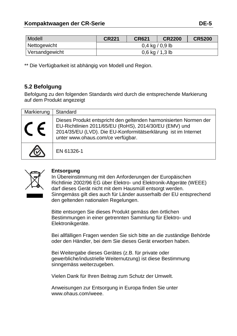| Modell         | <b>CR221</b>                      | <b>CR621</b> | <b>CR2200</b> | <b>CR5200</b> |
|----------------|-----------------------------------|--------------|---------------|---------------|
| Nettogewicht   | $0.4 \text{ kg} / 0.9 \text{ lb}$ |              |               |               |
| Versandgewicht | $0,6$ kg / 1,3 lb                 |              |               |               |

\*\* Die Verfügbarkeit ist abhängig von Modell und Region.

## **5.2 Befolgung**

Befolgung zu den folgenden Standards wird durch die entsprechende Markierung auf dem Produkt angezeigt

| Markierung | Standard                                                                                                                                                                                                                           |
|------------|------------------------------------------------------------------------------------------------------------------------------------------------------------------------------------------------------------------------------------|
|            | Dieses Produkt entspricht den geltenden harmonisierten Normen der<br>EU-Richtlinien 2011/65/EU (RoHS), 2014/30/EU (EMV) und<br>2014/35/EU (LVD). Die EU-Konformitätserklärung ist im Internet<br>unter www.ohaus.com/ce verfügbar. |
|            | EN 61326-1                                                                                                                                                                                                                         |



#### **Entsorgung**

In Übereinstimmung mit den Anforderungen der Europäischen Richtlinie 2002/96 EG über Elektro- und Elektronik-Altgeräte (WEEE) darf dieses Gerät nicht mit dem Hausmüll entsorgt werden. Sinngemäss gilt dies auch für Länder ausserhalb der EU entsprechend den geltenden nationalen Regelungen.

Bitte entsorgen Sie dieses Produkt gemäss den örtlichen Bestimmungen in einer getrennten Sammlung für Elektro- und Elektronikgeräte.

Bei allfälligen Fragen wenden Sie sich bitte an die zuständige Behörde oder den Händler, bei dem Sie dieses Gerät erworben haben.

Bei Weitergabe dieses Gerätes (z.B. für private oder gewerbliche/industrielle Weiternutzung) ist diese Bestimmung sinngemäss weiterzugeben.

Vielen Dank für Ihren Beitrag zum Schutz der Umwelt.

Anweisungen zur Entsorgung in Europa finden Sie unter www.ohaus.com/weee.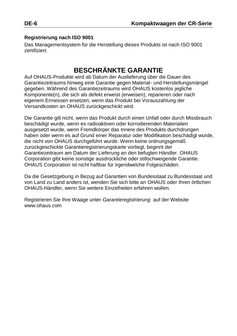#### **Registrierung nach ISO 9001**

Das Managementsystem für die Herstellung dieses Produkts ist nach ISO 9001 zertifiziert.

# **BESCHRÄNKTE GARANTIE**

Auf OHAUS-Produkte wird ab Datum der Auslieferung über die Dauer des Garantiezeitraums hinweg eine Garantie gegen Material- und Herstellungsmängel gegeben. Während des Garantiezeitraums wird OHAUS kostenlos jegliche Komponente(n), die sich als defekt erweist (erweisen), reparieren oder nach eigenem Ermessen ersetzen, wenn das Produkt bei Vorauszahlung der Versandkosten an OHAUS zurückgeschickt wird.

Die Garantie gilt nicht, wenn das Produkt durch einen Unfall oder durch Missbrauch beschädigt wurde, wenn es radioaktiven oder korrodierenden Materialien ausgesetzt wurde, wenn Fremdkörper das Innere des Produkts durchdrungen haben oder wenn es auf Grund einer Reparatur oder Modifikation beschädigt wurde, die nicht von OHAUS durchgeführt wurde. Wenn keine ordnungsgemäß zurückgeschickte Garantieregistrierungskarte vorliegt, beginnt der Garantiezeitraum am Datum der Lieferung an den befugten Händler. OHAUS Corporation gibt keine sonstige ausdrückliche oder stillschweigende Garantie. OHAUS Corporation ist nicht haftbar für irgendwelche Folgeschäden.

Da die Gesetzgebung in Bezug auf Garantien von Bundesstaat zu Bundesstaat und von Land zu Land anders ist, wenden Sie sich bitte an OHAUS oder Ihren örtlichen OHAUS-Händler, wenn Sie weitere Einzelheiten erfahren wollen.

Registrieren Sie Ihre Waage unter *Garantieregistrierung* auf der Website www.ohaus.com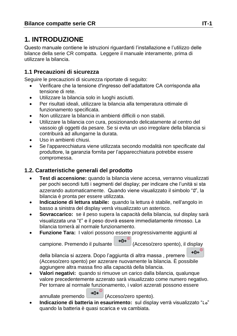# **1. INTRODUZIONE**

Questo manuale contiene le istruzioni riguardanti l'installazione e l'utilizzo delle bilance della serie CR compatta. Leggere il manuale interamente, prima di utilizzare la bilancia.

## **1.1 Precauzioni di sicurezza**

Seguire le precauzioni di sicurezza riportate di seguito:

- Verificare che la tensione d'ingresso dell'adattatore CA corrisponda alla tensione di rete.
- Utilizzare la bilancia solo in luoghi asciutti.
- Per risultati ideali, utilizzare la bilancia alla temperatura ottimale di funzionamento specificata.
- Non utilizzare la bilancia in ambienti difficili o non stabili.
- Utilizzare la bilancia con cura, posizionando delicatamente al centro del vassoio gli oggetti da pesare. Se si evita un uso irregolare della bilancia si contribuirà ad allungarne la durata.
- Uso in ambienti chiusi.
- Se l'apparecchiatura viene utilizzata secondo modalità non specificate dal produttore, la garanzia fornita per l'apparecchiatura potrebbe essere compromessa.

## **1.2. Caratteristiche generali del prodotto**

- **Test di accensione:** quando la bilancia viene accesa, verranno visualizzati per pochi secondi tutti i segmenti del display; per indicare che l'unità si sta azzerando automaticamente. Quando viene visualizzato il simbolo "0", la bilancia è pronta per essere utilizzata.
- **Indicazione di lettura stabile:** quando la lettura è stabile, nell'angolo in basso a sinistra del display verrà visualizzato un asterisco.
- **Sovraccarico:** se il peso supera la capacità della bilancia, sul display sarà visualizzata una "E" e il peso dovrà essere immediatamente rimosso. La bilancia tornerà al normale funzionamento.
- **Funzione Tara:** I valori possono essere progressivamente aggiunti al campione. Premendo il pulsante  $\rightarrow 0^{\infty}$  (Acceso/zero spento), il display

 $+0$  $\leftarrow$ <sup>0</sup>

della bilancia si azzera. Dopo l'aggiunta di altra massa , premere (Acceso/zero spento) per azzerare nuovamente la bilancia. È possibile aggiungere altra massa fino alla capacità della bilancia.

 **Valori negativi:** quando si rimuove un carico dalla bilancia, qualunque valore precedentemente azzerato sarà visualizzato come numero negativo. Per tornare al normale funzionamento, i valori azzerati possono essere

annullate premendo  $\rightarrow 0e^{i\theta}$  (Acceso/zero spento).

 **Indicazione di batteria in esaurimento:** sul display verrà visualizzato "Lo" quando la batteria è quasi scarica e va cambiata.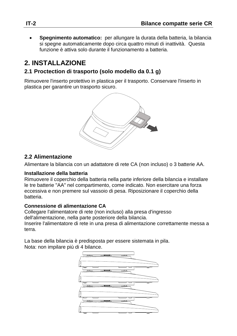**Spegnimento automatico:** per allungare la durata della batteria, la bilancia si spegne automaticamente dopo circa quattro minuti di inattività. Questa funzione è attiva solo durante il funzionamento a batteria.

# **2. INSTALLAZIONE**

## **2.1 Proctection di trasporto (solo modello da 0.1 g)**

Rimuovere l'inserto protettivo in plastica per il trasporto. Conservare l'inserto in plastica per garantire un trasporto sicuro.



## **2.2 Alimentazione**

Alimentare la bilancia con un adattatore di rete CA (non incluso) o 3 batterie AA.

#### **Installazione della batteria**

Rimuovere il coperchio della batteria nella parte inferiore della bilancia e installare le tre batterie "AA" nel compartimento, come indicato. Non esercitare una forza eccessiva e non premere sul vassoio di pesa. Riposizionare il coperchio della batteria.

#### **Connessione di alimentazione CA**

Collegare l'alimentatore di rete (non incluso) alla presa d'ingresso dell'alimentazione, nella parte posteriore della bilancia. Inserire l'alimentatore di rete in una presa di alimentazione correttamente messa a terra.

La base della bilancia è predisposta per essere sistemata in pila. Nota: non impilare più di 4 bilance.

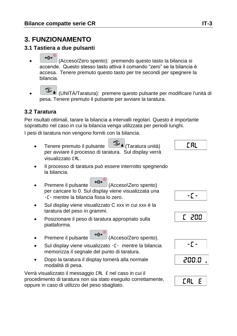# **3. FUNZIONAMENTO**

## **3.1 Tastiera a due pulsanti**

- ⊸∩⊷ (Acceso/Zero spento): premendo questo tasto la bilancia si accende. Questo stesso tasto attiva il comando "zero" se la bilancia è accesa. Tenere premuto questo tasto per tre secondi per spegnere la bilancia.
- (UNITÀ/Taratura): premere questo pulsante per modificare l'unità di pesa. Tenere premuto il pulsante per avviare la taratura.

## **3.2 Taratura**

Per risultati ottimali, tarare la bilancia a intervalli regolari. Questo è importante soprattutto nel caso in cui la bilancia venga utilizzata per periodi lunghi.

I pesi di taratura non vengono forniti con la bilancia.

- $\bullet$  Tenere premuto il pulsante  $\Box$  I (Taratura unità) per avviare il processo di taratura. Sul display verrà visualizzato CAL.
- Il processo di taratura può essere interrotto spegnendo la bilancia.
- Premere il pulsante (30<sup>+0+</sup>) (Acceso\Zero spento) per caricare lo 0. Sul display viene visualizzata una -C- mentre la bilancia fissa lo zero.
- Sul display viene visualizzato C xxx in cui xxx è la taratura del peso in grammi.
- Posizionare il peso di taratura appropriato sulla piattaforma.
- Premere il pulsante  $\rightarrow 0^e$  (Acceso/Zero spento).
- Sul display viene visualizzato -C- mentre la bilancia memorizza il segnale del punto di taratura.
- Dopo la taratura il display tornerà alla normale modalità di pesa.

Verrà visualizzato il messaggio CAL E nel caso in cui il procedimento di taratura non sia stato eseguito correttamente, oppure in caso di utilizzo del peso sbagliato.

# E BLI

# $-\Gamma$  -







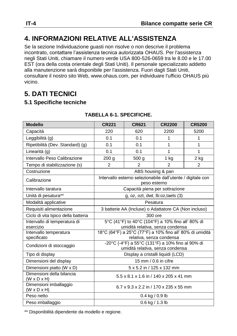# **4. INFORMAZIONI RELATIVE ALL'ASSISTENZA**

Se la sezione Individuazione guasti non risolve o non descrive il problema incontrato, contattare l'assistenza tecnica autorizzata OHAUS. Per l'assistenza negli Stati Uniti, chiamare il numero verde USA 800-526-0659 tra le 8.00 e le 17.00 EST (ora della costa orientale degli Stati Uniti). Il personale specializzato addetto alla manutenzione sarà disponibile per l'assistenza. Fuori dagli Stati Uniti, consultare il nostro sito Web, www.ohaus.com, per individuare l'ufficio OHAUS più vicino.

# **5. DATI TECNICI**

#### **5.1 Specifiche tecniche**

| <b>Modello</b>                                       | <b>CR221</b>                                                                          | <b>CR621</b>   | <b>CR2200</b>  | <b>CR5200</b>  |  |
|------------------------------------------------------|---------------------------------------------------------------------------------------|----------------|----------------|----------------|--|
| Capacità                                             | 220                                                                                   | 620            | 2200           | 5200           |  |
| Leggibilità (g)                                      | 0.1                                                                                   | 0.1            | 1              | 1              |  |
| Ripetibilità (Dev. Standard) (g)                     | 0.1                                                                                   | 0.1            | 1              | 1              |  |
| Linearità (q)                                        | 0.1                                                                                   | 0.1            | 1              | $\mathbf{1}$   |  |
| Intervallo Peso Calibrazione                         | 200 g                                                                                 | 500 g          | $1$ kg         | 2 kg           |  |
| Tempo di stabilizzazione (s)                         | $\overline{2}$                                                                        | $\overline{2}$ | $\mathfrak{p}$ | $\overline{2}$ |  |
| Costruzione                                          | ABS housing & pan                                                                     |                |                |                |  |
| Calibrazione                                         | Intervallo esterno selezionabile dall'utente / digitale con<br>peso esterno           |                |                |                |  |
| Intervallo taratura                                  | Capacità piena per sottrazione                                                        |                |                |                |  |
| Unità di pesatura**                                  | g, oz, ozt, dwt, lb:oz, taels (3)                                                     |                |                |                |  |
| Modalità applicative                                 | Pesatura                                                                              |                |                |                |  |
| Requisiti alimentazione                              | 3 batterie AA (Incluse) o Adattatore CA (Non incluso)                                 |                |                |                |  |
| Ciclo di vita tipico della batteria                  | 300 ore                                                                               |                |                |                |  |
| Intervallo di temperatura di<br>esercizio            | 5°C (41°F) to 40°C (104°F) a 10% fino all' 80% di<br>umidità relativa, senza condensa |                |                |                |  |
| Intervallo temperatura                               | 18°C (64°F) a 25°C (77°F) a 10% fino all' 80% di umidità                              |                |                |                |  |
| specificato                                          | relativa, senza condensa                                                              |                |                |                |  |
| Condizioni di stoccaggio                             | -20°C (-4°F) a 55°C (131°F) a 10% fino al 90% di<br>umidità relativa, senza condensa  |                |                |                |  |
| Tipo di display                                      | Display a cristalli liquidi (LCD)                                                     |                |                |                |  |
| Dimensioni del display                               | 15 mm / 0.6 in cifre                                                                  |                |                |                |  |
| Dimensioni piatto (W x D)                            | 5 x 5.2 in / 125 x 132 mm                                                             |                |                |                |  |
| Dimensioni della bilancia<br>$(W \times D \times H)$ | 5.5 x 8.1 x 1.6 in / 140 x 205 x 41 mm                                                |                |                |                |  |
| Dimensioni imballaggio<br>$(W \times D \times H)$    | 6.7 x 9.3 x 2.2 in / 170 x 235 x 55 mm                                                |                |                |                |  |
| Peso netto                                           | $0.4$ kg / 0.9 lb                                                                     |                |                |                |  |
| Peso imballaggio                                     | $0.6$ kg $/ 1.3$ lb                                                                   |                |                |                |  |

#### **TABELLA 6-1. SPECIFICHE.**

\*\* Disponibilità dipendente da modello e regione.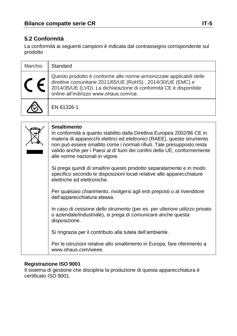## **5.2 Conformità**

La conformità ai seguenti campioni è indicata dal contrassegno corrispondente sul prodotto

| Marchio | Standard                                                                                                                                                                                                                                          |
|---------|---------------------------------------------------------------------------------------------------------------------------------------------------------------------------------------------------------------------------------------------------|
|         | Questo prodotto è conforme alle norme armonizzate applicabili delle<br>direttive comunitarie 2011/65/UE (RoHS), 2014/30/UE (EMC) e<br>2014/35/UE (LVD). La dichiarazione di conformità CE è disponibile<br>online all'indirizzo www.ohaus.com/ce. |
|         | EN 61326-1                                                                                                                                                                                                                                        |

| <b>Smaltimento</b><br>In conformità a quanto stabilito dalla Direttiva Europea 2002/96 CE in<br>materia di apparecchi elettrici ed elettronici (RAEE), questo strumento<br>non può essere smaltito come i normali rifiuti. Tale presupposto resta<br>valido anche per i Paesi al di fuori dei confini della UE, conformemente<br>alle norme nazionali in vigore. |
|------------------------------------------------------------------------------------------------------------------------------------------------------------------------------------------------------------------------------------------------------------------------------------------------------------------------------------------------------------------|
| Si prega quindi di smaltire questo prodotto separatamente e in modo<br>specifico secondo le disposizioni locali relative alle apparecchiature<br>elettriche ed elettroniche.                                                                                                                                                                                     |
| Per qualsiasi chiarimento, rivolgersi agli enti preposti o al rivenditore<br>dell'apparecchiatura stessa.                                                                                                                                                                                                                                                        |
| In caso di cessione dello strumento (per es. per ulteriore utilizzo privato<br>o aziendale/industriale), si prega di comunicare anche questa<br>disposizione.                                                                                                                                                                                                    |
| Si ringrazia per il contributo alla tutela dell'ambiente.                                                                                                                                                                                                                                                                                                        |
| Per le istruzioni relative allo smaltimento in Europa, fare riferimento a<br>www.ohaus.com/weee.                                                                                                                                                                                                                                                                 |

#### **Registrazione ISO 9001**

Il sistema di gestione che disciplina la produzione di questa apparecchiatura è certificato ISO 9001.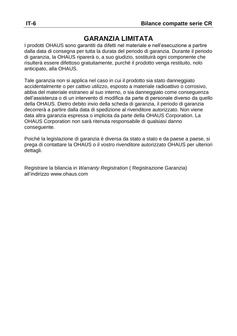# **GARANZIA LIMITATA**

I prodotti OHAUS sono garantiti da difetti nel materiale e nell'esecuzione a partire dalla data di consegna per tutta la durata del periodo di garanzia. Durante il periodo di garanzia, la OHAUS riparerà o, a suo giudizio, sostituirà ogni componente che risulterà essere difettoso gratuitamente, purché il prodotto venga restituito, nolo anticipato, alla OHAUS.

Tale garanzia non si applica nel caso in cui il prodotto sia stato danneggiato accidentalmente o per cattivo utilizzo, esposto a materiale radioattivo o corrosivo, abbia del materiale estraneo al suo interno, o sia danneggiato come conseguenza dell'assistenza o di un intervento di modifica da parte di personale diverso da quello della OHAUS. Dietro debito invio della scheda di garanzia, il periodo di garanzia decorrerà a partire dalla data di spedizione al rivenditore autorizzato. Non viene data altra garanzia espressa o implicita da parte della OHAUS Corporation. La OHAUS Corporation non sarà ritenuta responsabile di qualsiasi danno conseguente.

Poiché la legislazione di garanzia è diversa da stato a stato e da paese a paese, si prega di contattare la OHAUS o il vostro rivenditore autorizzato OHAUS per ulteriori dettagli.

Registrare la bilancia in *Warranty Registration* ( Registrazione Garanzia) all'indirizzo www.ohaus.com